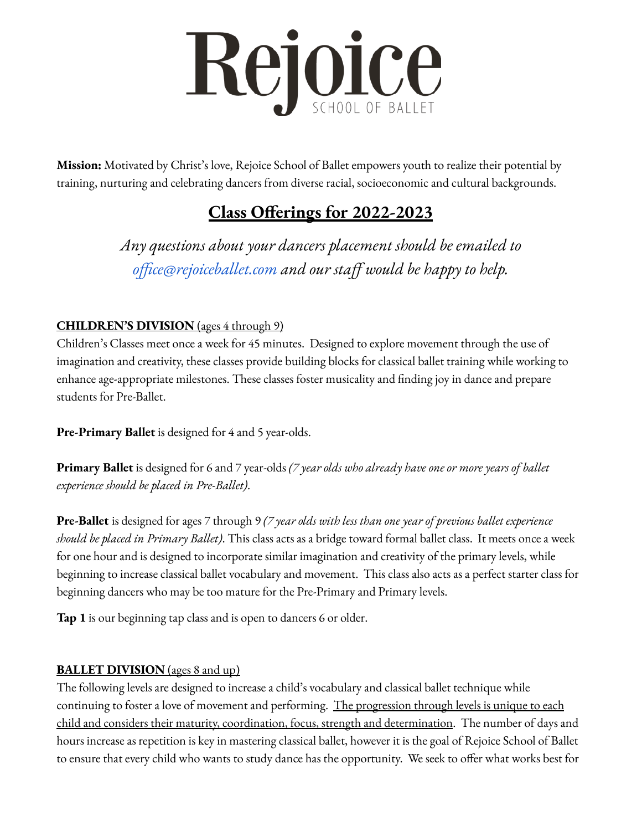

**Mission:** Motivated by Christ's love, Rejoice School of Ballet empowers youth to realize their potential by training, nurturing and celebrating dancers from diverse racial, socioeconomic and cultural backgrounds.

## **Class Offerings for 2022-2023**

*Any questions about your dancers placement should be emailed to [office@rejoiceballet.com](mailto:office@rejoiceballet.com) and our staff would be happy to help.*

## **CHILDREN'S DIVISION** (ages 4 through 9)

Children's Classes meet once a week for 45 minutes. Designed to explore movement through the use of imagination and creativity, these classes provide building blocks for classical ballet training while working to enhance age-appropriate milestones. These classes foster musicality and finding joy in dance and prepare students for Pre-Ballet.

**Pre-Primary Ballet** is designed for 4 and 5 year-olds.

**Primary Ballet** is designed for 6 and 7 year-olds *(7 year olds who already have one or more years of ballet experience should be placed in Pre-Ballet)*.

**Pre-Ballet** is designed for ages 7 through 9 *(7 year olds with less than one year of previous ballet experience should be placed in Primary Ballet)*. This class acts as a bridge toward formal ballet class. It meets once a week for one hour and is designed to incorporate similar imagination and creativity of the primary levels, while beginning to increase classical ballet vocabulary and movement. This class also acts as a perfect starter class for beginning dancers who may be too mature for the Pre-Primary and Primary levels.

**Tap 1** is our beginning tap class and is open to dancers 6 or older.

## **BALLET DIVISION** (ages 8 and up)

The following levels are designed to increase a child's vocabulary and classical ballet technique while continuing to foster a love of movement and performing. The progression through levels is unique to each child and considers their maturity, coordination, focus, strength and determination. The number of days and hours increase as repetition is key in mastering classical ballet, however it is the goal of Rejoice School of Ballet to ensure that every child who wants to study dance has the opportunity. We seek to offer what works best for